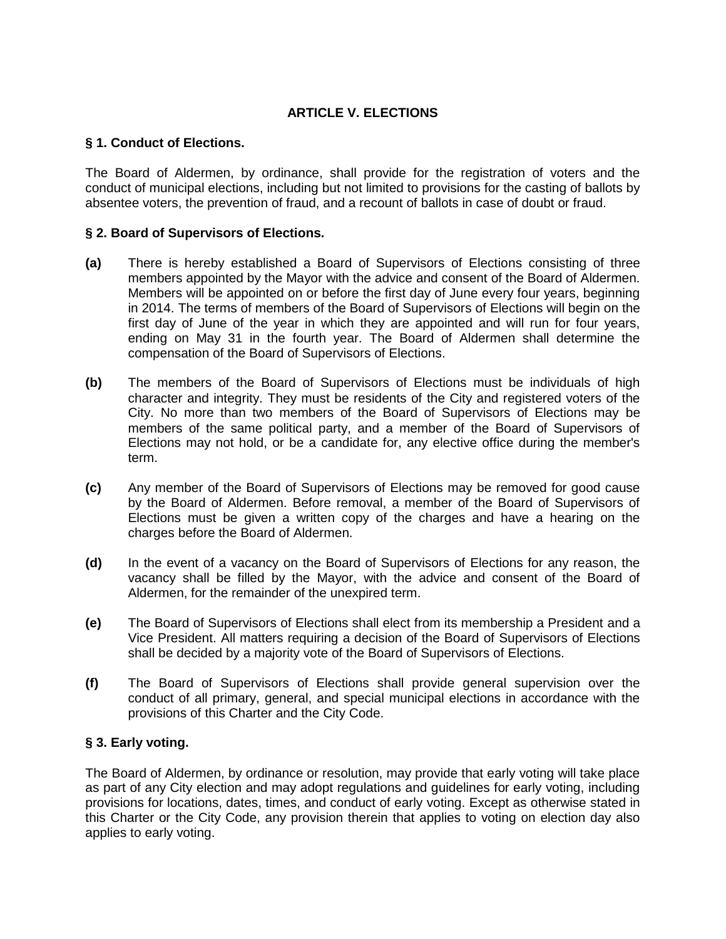# **ARTICLE V. ELECTIONS**

## **§ 1. Conduct of Elections.**

The Board of Aldermen, by ordinance, shall provide for the registration of voters and the conduct of municipal elections, including but not limited to provisions for the casting of ballots by absentee voters, the prevention of fraud, and a recount of ballots in case of doubt or fraud.

## **§ 2. Board of Supervisors of Elections.**

- **(a)** There is hereby established a Board of Supervisors of Elections consisting of three members appointed by the Mayor with the advice and consent of the Board of Aldermen. Members will be appointed on or before the first day of June every four years, beginning in 2014. The terms of members of the Board of Supervisors of Elections will begin on the first day of June of the year in which they are appointed and will run for four years, ending on May 31 in the fourth year. The Board of Aldermen shall determine the compensation of the Board of Supervisors of Elections.
- **(b)** The members of the Board of Supervisors of Elections must be individuals of high character and integrity. They must be residents of the City and registered voters of the City. No more than two members of the Board of Supervisors of Elections may be members of the same political party, and a member of the Board of Supervisors of Elections may not hold, or be a candidate for, any elective office during the member's term.
- **(c)** Any member of the Board of Supervisors of Elections may be removed for good cause by the Board of Aldermen. Before removal, a member of the Board of Supervisors of Elections must be given a written copy of the charges and have a hearing on the charges before the Board of Aldermen.
- **(d)** In the event of a vacancy on the Board of Supervisors of Elections for any reason, the vacancy shall be filled by the Mayor, with the advice and consent of the Board of Aldermen, for the remainder of the unexpired term.
- **(e)** The Board of Supervisors of Elections shall elect from its membership a President and a Vice President. All matters requiring a decision of the Board of Supervisors of Elections shall be decided by a majority vote of the Board of Supervisors of Elections.
- **(f)** The Board of Supervisors of Elections shall provide general supervision over the conduct of all primary, general, and special municipal elections in accordance with the provisions of this Charter and the City Code.

## **§ 3. Early voting.**

The Board of Aldermen, by ordinance or resolution, may provide that early voting will take place as part of any City election and may adopt regulations and guidelines for early voting, including provisions for locations, dates, times, and conduct of early voting. Except as otherwise stated in this Charter or the City Code, any provision therein that applies to voting on election day also applies to early voting.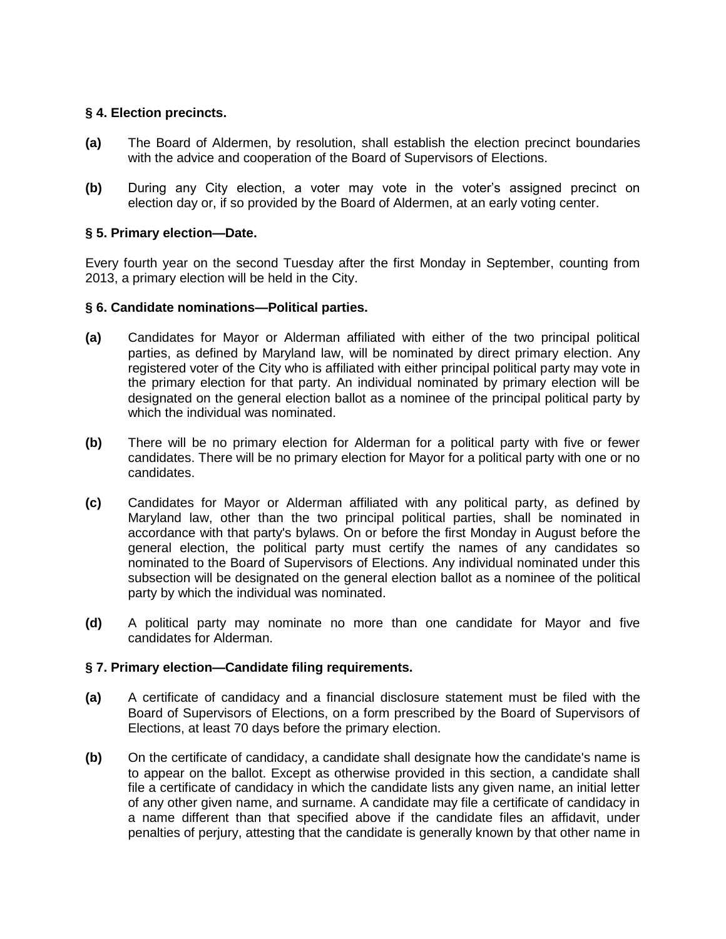## **§ 4. Election precincts.**

- **(a)** The Board of Aldermen, by resolution, shall establish the election precinct boundaries with the advice and cooperation of the Board of Supervisors of Elections.
- **(b)** During any City election, a voter may vote in the voter's assigned precinct on election day or, if so provided by the Board of Aldermen, at an early voting center.

## **§ 5. Primary election—Date.**

Every fourth year on the second Tuesday after the first Monday in September, counting from 2013, a primary election will be held in the City.

### **§ 6. Candidate nominations—Political parties.**

- **(a)** Candidates for Mayor or Alderman affiliated with either of the two principal political parties, as defined by Maryland law, will be nominated by direct primary election. Any registered voter of the City who is affiliated with either principal political party may vote in the primary election for that party. An individual nominated by primary election will be designated on the general election ballot as a nominee of the principal political party by which the individual was nominated.
- **(b)** There will be no primary election for Alderman for a political party with five or fewer candidates. There will be no primary election for Mayor for a political party with one or no candidates.
- **(c)** Candidates for Mayor or Alderman affiliated with any political party, as defined by Maryland law, other than the two principal political parties, shall be nominated in accordance with that party's bylaws. On or before the first Monday in August before the general election, the political party must certify the names of any candidates so nominated to the Board of Supervisors of Elections. Any individual nominated under this subsection will be designated on the general election ballot as a nominee of the political party by which the individual was nominated.
- **(d)** A political party may nominate no more than one candidate for Mayor and five candidates for Alderman.

### **§ 7. Primary election—Candidate filing requirements.**

- **(a)** A certificate of candidacy and a financial disclosure statement must be filed with the Board of Supervisors of Elections, on a form prescribed by the Board of Supervisors of Elections, at least 70 days before the primary election.
- **(b)** On the certificate of candidacy, a candidate shall designate how the candidate's name is to appear on the ballot. Except as otherwise provided in this section, a candidate shall file a certificate of candidacy in which the candidate lists any given name, an initial letter of any other given name, and surname. A candidate may file a certificate of candidacy in a name different than that specified above if the candidate files an affidavit, under penalties of perjury, attesting that the candidate is generally known by that other name in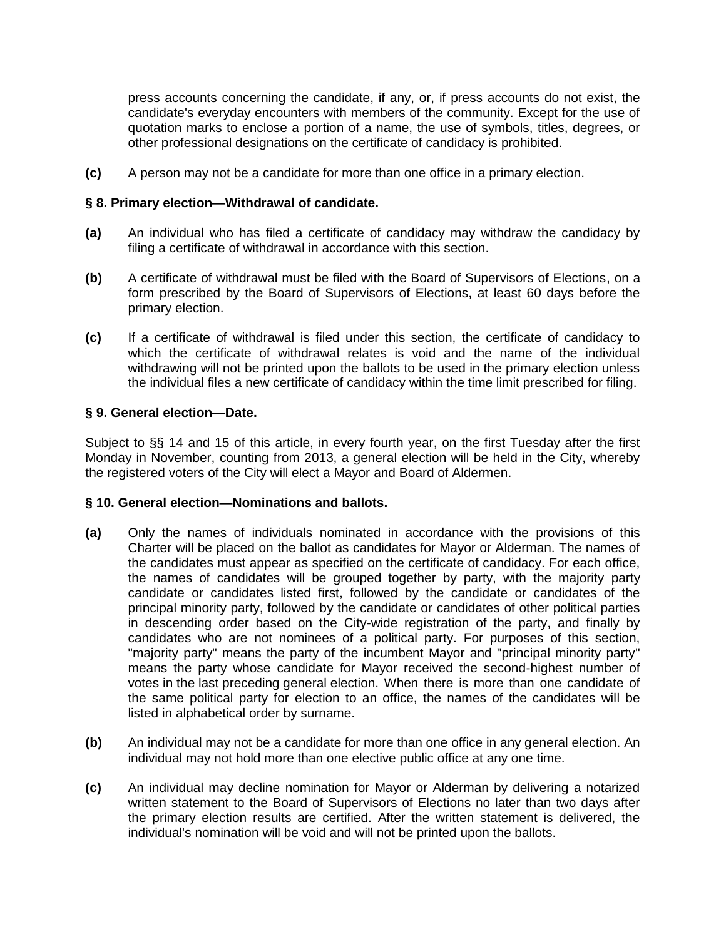press accounts concerning the candidate, if any, or, if press accounts do not exist, the candidate's everyday encounters with members of the community. Except for the use of quotation marks to enclose a portion of a name, the use of symbols, titles, degrees, or other professional designations on the certificate of candidacy is prohibited.

**(c)** A person may not be a candidate for more than one office in a primary election.

### **§ 8. Primary election—Withdrawal of candidate.**

- **(a)** An individual who has filed a certificate of candidacy may withdraw the candidacy by filing a certificate of withdrawal in accordance with this section.
- **(b)** A certificate of withdrawal must be filed with the Board of Supervisors of Elections, on a form prescribed by the Board of Supervisors of Elections, at least 60 days before the primary election.
- **(c)** If a certificate of withdrawal is filed under this section, the certificate of candidacy to which the certificate of withdrawal relates is void and the name of the individual withdrawing will not be printed upon the ballots to be used in the primary election unless the individual files a new certificate of candidacy within the time limit prescribed for filing.

## **§ 9. General election—Date.**

Subject to §§ 14 and 15 of this article, in every fourth year, on the first Tuesday after the first Monday in November, counting from 2013, a general election will be held in the City, whereby the registered voters of the City will elect a Mayor and Board of Aldermen.

### **§ 10. General election—Nominations and ballots.**

- **(a)** Only the names of individuals nominated in accordance with the provisions of this Charter will be placed on the ballot as candidates for Mayor or Alderman. The names of the candidates must appear as specified on the certificate of candidacy. For each office, the names of candidates will be grouped together by party, with the majority party candidate or candidates listed first, followed by the candidate or candidates of the principal minority party, followed by the candidate or candidates of other political parties in descending order based on the City-wide registration of the party, and finally by candidates who are not nominees of a political party. For purposes of this section, "majority party" means the party of the incumbent Mayor and "principal minority party" means the party whose candidate for Mayor received the second-highest number of votes in the last preceding general election. When there is more than one candidate of the same political party for election to an office, the names of the candidates will be listed in alphabetical order by surname.
- **(b)** An individual may not be a candidate for more than one office in any general election. An individual may not hold more than one elective public office at any one time.
- **(c)** An individual may decline nomination for Mayor or Alderman by delivering a notarized written statement to the Board of Supervisors of Elections no later than two days after the primary election results are certified. After the written statement is delivered, the individual's nomination will be void and will not be printed upon the ballots.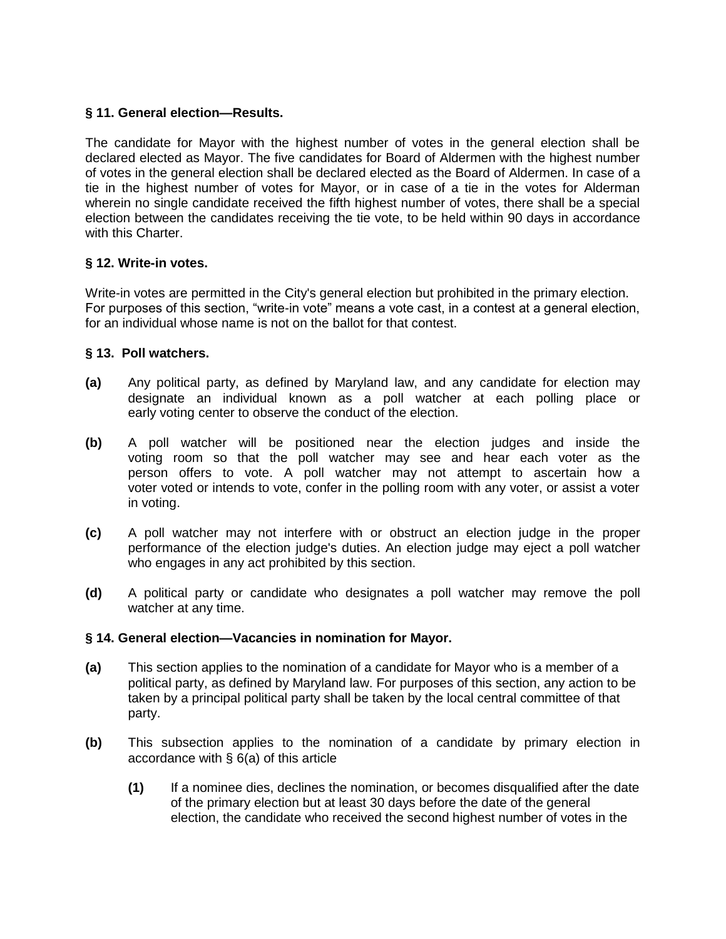# **§ 11. General election—Results.**

The candidate for Mayor with the highest number of votes in the general election shall be declared elected as Mayor. The five candidates for Board of Aldermen with the highest number of votes in the general election shall be declared elected as the Board of Aldermen. In case of a tie in the highest number of votes for Mayor, or in case of a tie in the votes for Alderman wherein no single candidate received the fifth highest number of votes, there shall be a special election between the candidates receiving the tie vote, to be held within 90 days in accordance with this Charter.

## **§ 12. Write-in votes.**

Write-in votes are permitted in the City's general election but prohibited in the primary election. For purposes of this section, "write-in vote" means a vote cast, in a contest at a general election, for an individual whose name is not on the ballot for that contest.

## **§ 13. Poll watchers.**

- **(a)** Any political party, as defined by Maryland law, and any candidate for election may designate an individual known as a poll watcher at each polling place or early voting center to observe the conduct of the election.
- **(b)** A poll watcher will be positioned near the election judges and inside the voting room so that the poll watcher may see and hear each voter as the person offers to vote. A poll watcher may not attempt to ascertain how a voter voted or intends to vote, confer in the polling room with any voter, or assist a voter in voting.
- **(c)** A poll watcher may not interfere with or obstruct an election judge in the proper performance of the election judge's duties. An election judge may eject a poll watcher who engages in any act prohibited by this section.
- **(d)** A political party or candidate who designates a poll watcher may remove the poll watcher at any time.

### **§ 14. General election—Vacancies in nomination for Mayor.**

- **(a)** This section applies to the nomination of a candidate for Mayor who is a member of a political party, as defined by Maryland law. For purposes of this section, any action to be taken by a principal political party shall be taken by the local central committee of that party.
- **(b)** This subsection applies to the nomination of a candidate by primary election in accordance with § 6(a) of this article
	- **(1)** If a nominee dies, declines the nomination, or becomes disqualified after the date of the primary election but at least 30 days before the date of the general election, the candidate who received the second highest number of votes in the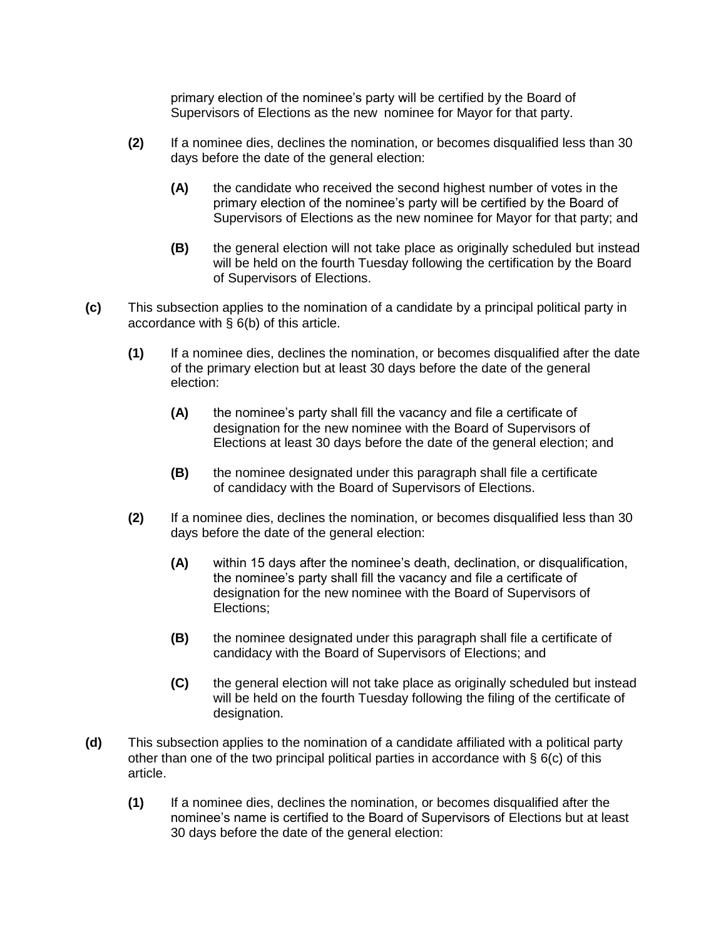primary election of the nominee's party will be certified by the Board of Supervisors of Elections as the new nominee for Mayor for that party.

- **(2)** If a nominee dies, declines the nomination, or becomes disqualified less than 30 days before the date of the general election:
	- **(A)** the candidate who received the second highest number of votes in the primary election of the nominee's party will be certified by the Board of Supervisors of Elections as the new nominee for Mayor for that party; and
	- **(B)** the general election will not take place as originally scheduled but instead will be held on the fourth Tuesday following the certification by the Board of Supervisors of Elections.
- **(c)** This subsection applies to the nomination of a candidate by a principal political party in accordance with § 6(b) of this article.
	- **(1)** If a nominee dies, declines the nomination, or becomes disqualified after the date of the primary election but at least 30 days before the date of the general election:
		- **(A)** the nominee's party shall fill the vacancy and file a certificate of designation for the new nominee with the Board of Supervisors of Elections at least 30 days before the date of the general election; and
		- **(B)** the nominee designated under this paragraph shall file a certificate of candidacy with the Board of Supervisors of Elections.
	- **(2)** If a nominee dies, declines the nomination, or becomes disqualified less than 30 days before the date of the general election:
		- **(A)** within 15 days after the nominee's death, declination, or disqualification, the nominee's party shall fill the vacancy and file a certificate of designation for the new nominee with the Board of Supervisors of Elections;
		- **(B)** the nominee designated under this paragraph shall file a certificate of candidacy with the Board of Supervisors of Elections; and
		- **(C)** the general election will not take place as originally scheduled but instead will be held on the fourth Tuesday following the filing of the certificate of designation.
- **(d)** This subsection applies to the nomination of a candidate affiliated with a political party other than one of the two principal political parties in accordance with  $\S$  6(c) of this article.
	- **(1)** If a nominee dies, declines the nomination, or becomes disqualified after the nominee's name is certified to the Board of Supervisors of Elections but at least 30 days before the date of the general election: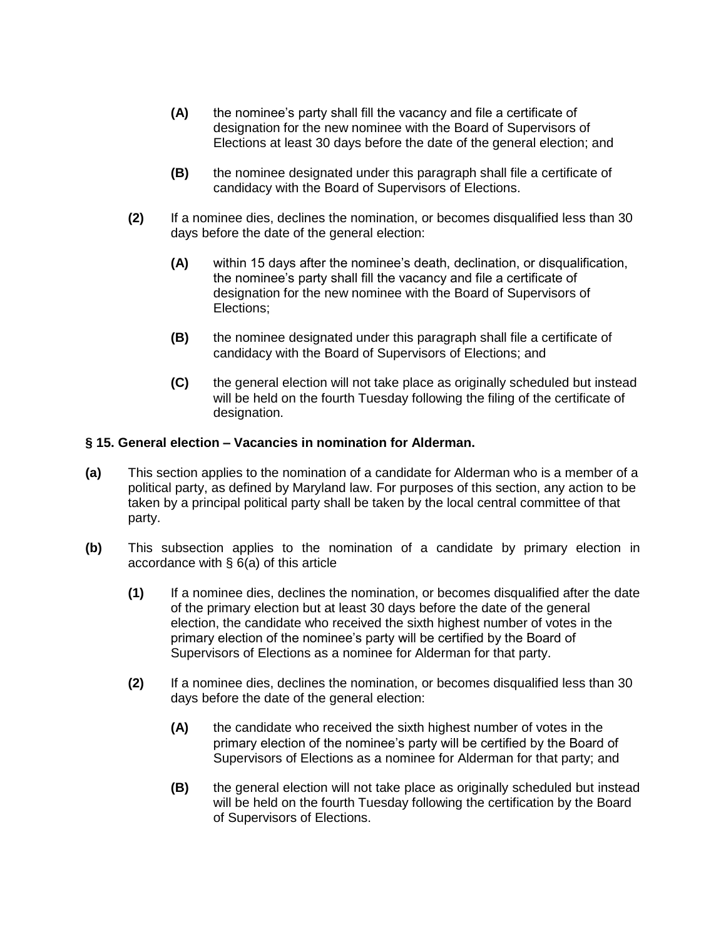- **(A)** the nominee's party shall fill the vacancy and file a certificate of designation for the new nominee with the Board of Supervisors of Elections at least 30 days before the date of the general election; and
- **(B)** the nominee designated under this paragraph shall file a certificate of candidacy with the Board of Supervisors of Elections.
- **(2)** If a nominee dies, declines the nomination, or becomes disqualified less than 30 days before the date of the general election:
	- **(A)** within 15 days after the nominee's death, declination, or disqualification, the nominee's party shall fill the vacancy and file a certificate of designation for the new nominee with the Board of Supervisors of Elections;
	- **(B)** the nominee designated under this paragraph shall file a certificate of candidacy with the Board of Supervisors of Elections; and
	- **(C)** the general election will not take place as originally scheduled but instead will be held on the fourth Tuesday following the filing of the certificate of designation.

## **§ 15. General election – Vacancies in nomination for Alderman.**

- **(a)** This section applies to the nomination of a candidate for Alderman who is a member of a political party, as defined by Maryland law. For purposes of this section, any action to be taken by a principal political party shall be taken by the local central committee of that party.
- **(b)** This subsection applies to the nomination of a candidate by primary election in accordance with § 6(a) of this article
	- **(1)** If a nominee dies, declines the nomination, or becomes disqualified after the date of the primary election but at least 30 days before the date of the general election, the candidate who received the sixth highest number of votes in the primary election of the nominee's party will be certified by the Board of Supervisors of Elections as a nominee for Alderman for that party.
	- **(2)** If a nominee dies, declines the nomination, or becomes disqualified less than 30 days before the date of the general election:
		- **(A)** the candidate who received the sixth highest number of votes in the primary election of the nominee's party will be certified by the Board of Supervisors of Elections as a nominee for Alderman for that party; and
		- **(B)** the general election will not take place as originally scheduled but instead will be held on the fourth Tuesday following the certification by the Board of Supervisors of Elections.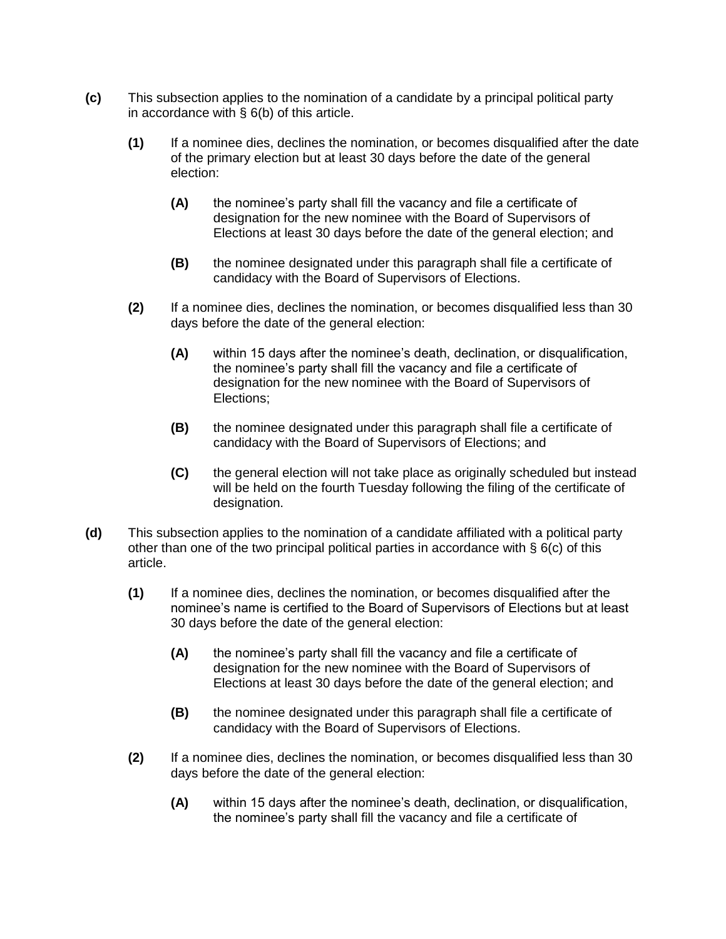- **(c)** This subsection applies to the nomination of a candidate by a principal political party in accordance with § 6(b) of this article.
	- **(1)** If a nominee dies, declines the nomination, or becomes disqualified after the date of the primary election but at least 30 days before the date of the general election:
		- **(A)** the nominee's party shall fill the vacancy and file a certificate of designation for the new nominee with the Board of Supervisors of Elections at least 30 days before the date of the general election; and
		- **(B)** the nominee designated under this paragraph shall file a certificate of candidacy with the Board of Supervisors of Elections.
	- **(2)** If a nominee dies, declines the nomination, or becomes disqualified less than 30 days before the date of the general election:
		- **(A)** within 15 days after the nominee's death, declination, or disqualification, the nominee's party shall fill the vacancy and file a certificate of designation for the new nominee with the Board of Supervisors of Elections;
		- **(B)** the nominee designated under this paragraph shall file a certificate of candidacy with the Board of Supervisors of Elections; and
		- **(C)** the general election will not take place as originally scheduled but instead will be held on the fourth Tuesday following the filing of the certificate of designation.
- **(d)** This subsection applies to the nomination of a candidate affiliated with a political party other than one of the two principal political parties in accordance with § 6(c) of this article.
	- **(1)** If a nominee dies, declines the nomination, or becomes disqualified after the nominee's name is certified to the Board of Supervisors of Elections but at least 30 days before the date of the general election:
		- **(A)** the nominee's party shall fill the vacancy and file a certificate of designation for the new nominee with the Board of Supervisors of Elections at least 30 days before the date of the general election; and
		- **(B)** the nominee designated under this paragraph shall file a certificate of candidacy with the Board of Supervisors of Elections.
	- **(2)** If a nominee dies, declines the nomination, or becomes disqualified less than 30 days before the date of the general election:
		- **(A)** within 15 days after the nominee's death, declination, or disqualification, the nominee's party shall fill the vacancy and file a certificate of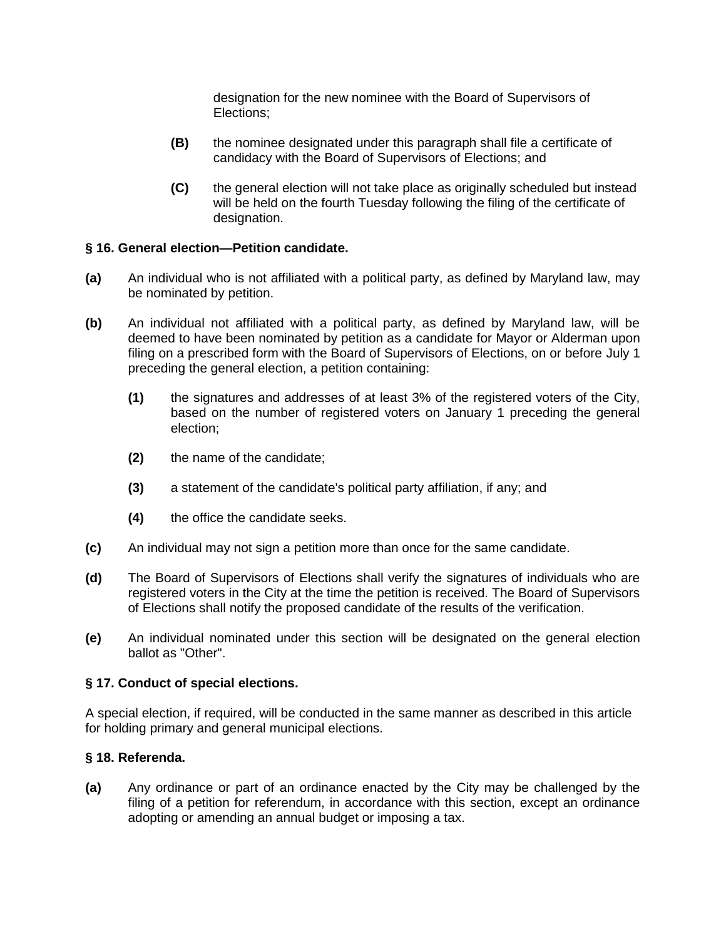designation for the new nominee with the Board of Supervisors of Elections;

- **(B)** the nominee designated under this paragraph shall file a certificate of candidacy with the Board of Supervisors of Elections; and
- **(C)** the general election will not take place as originally scheduled but instead will be held on the fourth Tuesday following the filing of the certificate of designation.

## **§ 16. General election—Petition candidate.**

- **(a)** An individual who is not affiliated with a political party, as defined by Maryland law, may be nominated by petition.
- **(b)** An individual not affiliated with a political party, as defined by Maryland law, will be deemed to have been nominated by petition as a candidate for Mayor or Alderman upon filing on a prescribed form with the Board of Supervisors of Elections, on or before July 1 preceding the general election, a petition containing:
	- **(1)** the signatures and addresses of at least 3% of the registered voters of the City, based on the number of registered voters on January 1 preceding the general election;
	- **(2)** the name of the candidate;
	- **(3)** a statement of the candidate's political party affiliation, if any; and
	- **(4)** the office the candidate seeks.
- **(c)** An individual may not sign a petition more than once for the same candidate.
- **(d)** The Board of Supervisors of Elections shall verify the signatures of individuals who are registered voters in the City at the time the petition is received. The Board of Supervisors of Elections shall notify the proposed candidate of the results of the verification.
- **(e)** An individual nominated under this section will be designated on the general election ballot as "Other".

### **§ 17. Conduct of special elections.**

A special election, if required, will be conducted in the same manner as described in this article for holding primary and general municipal elections.

## **§ 18. Referenda.**

**(a)** Any ordinance or part of an ordinance enacted by the City may be challenged by the filing of a petition for referendum, in accordance with this section, except an ordinance adopting or amending an annual budget or imposing a tax.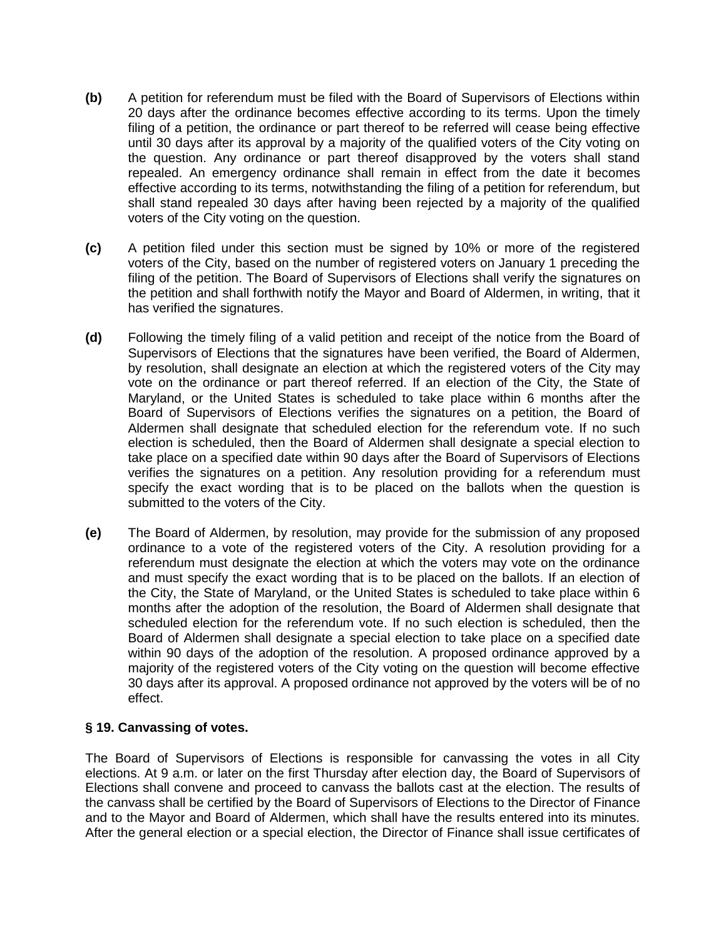- **(b)** A petition for referendum must be filed with the Board of Supervisors of Elections within 20 days after the ordinance becomes effective according to its terms. Upon the timely filing of a petition, the ordinance or part thereof to be referred will cease being effective until 30 days after its approval by a majority of the qualified voters of the City voting on the question. Any ordinance or part thereof disapproved by the voters shall stand repealed. An emergency ordinance shall remain in effect from the date it becomes effective according to its terms, notwithstanding the filing of a petition for referendum, but shall stand repealed 30 days after having been rejected by a majority of the qualified voters of the City voting on the question.
- **(c)** A petition filed under this section must be signed by 10% or more of the registered voters of the City, based on the number of registered voters on January 1 preceding the filing of the petition. The Board of Supervisors of Elections shall verify the signatures on the petition and shall forthwith notify the Mayor and Board of Aldermen, in writing, that it has verified the signatures.
- **(d)** Following the timely filing of a valid petition and receipt of the notice from the Board of Supervisors of Elections that the signatures have been verified, the Board of Aldermen, by resolution, shall designate an election at which the registered voters of the City may vote on the ordinance or part thereof referred. If an election of the City, the State of Maryland, or the United States is scheduled to take place within 6 months after the Board of Supervisors of Elections verifies the signatures on a petition, the Board of Aldermen shall designate that scheduled election for the referendum vote. If no such election is scheduled, then the Board of Aldermen shall designate a special election to take place on a specified date within 90 days after the Board of Supervisors of Elections verifies the signatures on a petition. Any resolution providing for a referendum must specify the exact wording that is to be placed on the ballots when the question is submitted to the voters of the City.
- **(e)** The Board of Aldermen, by resolution, may provide for the submission of any proposed ordinance to a vote of the registered voters of the City. A resolution providing for a referendum must designate the election at which the voters may vote on the ordinance and must specify the exact wording that is to be placed on the ballots. If an election of the City, the State of Maryland, or the United States is scheduled to take place within 6 months after the adoption of the resolution, the Board of Aldermen shall designate that scheduled election for the referendum vote. If no such election is scheduled, then the Board of Aldermen shall designate a special election to take place on a specified date within 90 days of the adoption of the resolution. A proposed ordinance approved by a majority of the registered voters of the City voting on the question will become effective 30 days after its approval. A proposed ordinance not approved by the voters will be of no effect.

## **§ 19. Canvassing of votes.**

The Board of Supervisors of Elections is responsible for canvassing the votes in all City elections. At 9 a.m. or later on the first Thursday after election day, the Board of Supervisors of Elections shall convene and proceed to canvass the ballots cast at the election. The results of the canvass shall be certified by the Board of Supervisors of Elections to the Director of Finance and to the Mayor and Board of Aldermen, which shall have the results entered into its minutes. After the general election or a special election, the Director of Finance shall issue certificates of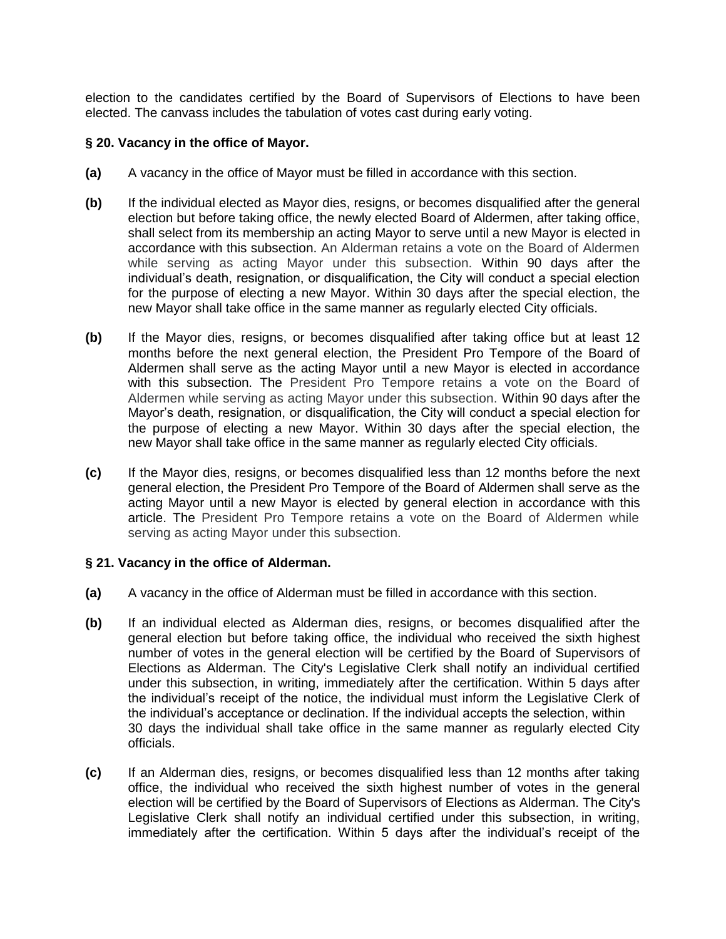election to the candidates certified by the Board of Supervisors of Elections to have been elected. The canvass includes the tabulation of votes cast during early voting.

## **§ 20. Vacancy in the office of Mayor.**

- **(a)** A vacancy in the office of Mayor must be filled in accordance with this section.
- **(b)** If the individual elected as Mayor dies, resigns, or becomes disqualified after the general election but before taking office, the newly elected Board of Aldermen, after taking office, shall select from its membership an acting Mayor to serve until a new Mayor is elected in accordance with this subsection. An Alderman retains a vote on the Board of Aldermen while serving as acting Mayor under this subsection. Within 90 days after the individual's death, resignation, or disqualification, the City will conduct a special election for the purpose of electing a new Mayor. Within 30 days after the special election, the new Mayor shall take office in the same manner as regularly elected City officials.
- **(b)** If the Mayor dies, resigns, or becomes disqualified after taking office but at least 12 months before the next general election, the President Pro Tempore of the Board of Aldermen shall serve as the acting Mayor until a new Mayor is elected in accordance with this subsection. The President Pro Tempore retains a vote on the Board of Aldermen while serving as acting Mayor under this subsection. Within 90 days after the Mayor's death, resignation, or disqualification, the City will conduct a special election for the purpose of electing a new Mayor. Within 30 days after the special election, the new Mayor shall take office in the same manner as regularly elected City officials.
- **(c)** If the Mayor dies, resigns, or becomes disqualified less than 12 months before the next general election, the President Pro Tempore of the Board of Aldermen shall serve as the acting Mayor until a new Mayor is elected by general election in accordance with this article. The President Pro Tempore retains a vote on the Board of Aldermen while serving as acting Mayor under this subsection.

### **§ 21. Vacancy in the office of Alderman.**

- **(a)** A vacancy in the office of Alderman must be filled in accordance with this section.
- **(b)** If an individual elected as Alderman dies, resigns, or becomes disqualified after the general election but before taking office, the individual who received the sixth highest number of votes in the general election will be certified by the Board of Supervisors of Elections as Alderman. The City's Legislative Clerk shall notify an individual certified under this subsection, in writing, immediately after the certification. Within 5 days after the individual's receipt of the notice, the individual must inform the Legislative Clerk of the individual's acceptance or declination. If the individual accepts the selection, within 30 days the individual shall take office in the same manner as regularly elected City officials.
- **(c)** If an Alderman dies, resigns, or becomes disqualified less than 12 months after taking office, the individual who received the sixth highest number of votes in the general election will be certified by the Board of Supervisors of Elections as Alderman. The City's Legislative Clerk shall notify an individual certified under this subsection, in writing, immediately after the certification. Within 5 days after the individual's receipt of the